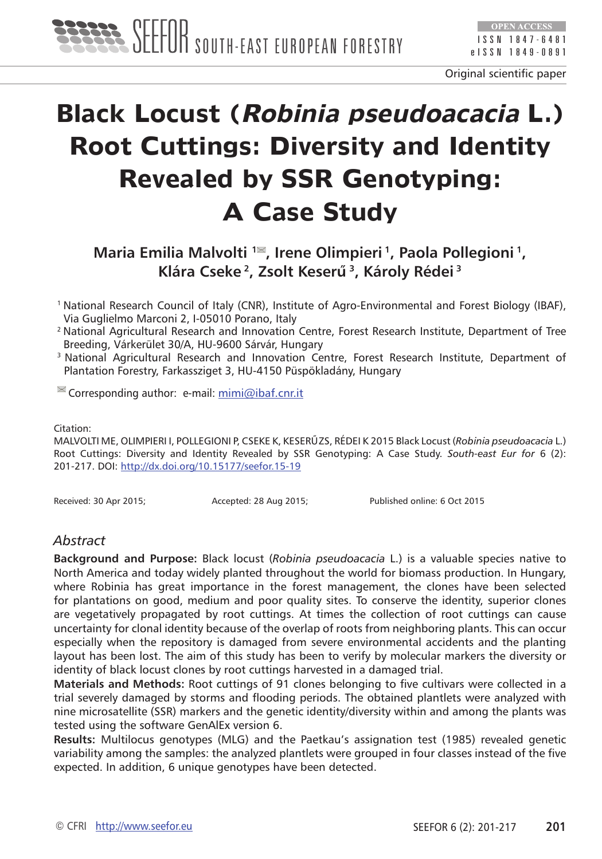

# **Black Locust (Robinia pseudoacacia L.) Root Cuttings: Diversity and Identity Revealed by SSR Genotyping: A Case Study**

Maria Emilia Malvolti<sup>1</sup><sup>■</sup>, Irene Olimpieri<sup>1</sup>, Paola Pollegioni<sup>1</sup>, **Klára Cseke 2, Zsolt Keseru˝ 3, Károly Rédei 3**

- 1 National Research Council of Italy (CNR), Institute of Agro-Environmental and Forest Biology (IBAF), Via Guglielmo Marconi 2, I-05010 Porano, Italy
- <sup>2</sup> National Agricultural Research and Innovation Centre, Forest Research Institute, Department of Tree Breeding, Várkerület 30/A, HU-9600 Sárvár, Hungary
- <sup>3</sup> National Agricultural Research and Innovation Centre, Forest Research Institute, Department of Plantation Forestry, Farkassziget 3, HU-4150 Püspökladány, Hungary

 $\blacksquare$  Corresponding author: e-mail:  $min@ibaf.cnr.it$ 

#### Citation:

MALVOLTI ME, OLIMPIERI I, POLLEGIONI P, CSEKE K, KESERU˝ ZS, RÉDEI K 2015 Black Locust (*Robinia pseudoacacia* L.) Root Cuttings: Diversity and Identity Revealed by SSR Genotyping: A Case Study. *South-east Eur for* 6 (2): 201-217. DOI: http://dx.doi.org/10.15177/seefor.15-19

Received: 30 Apr 2015; Accepted: 28 Aug 2015; Published online: 6 Oct 2015

## *Abstract*

**Background and Purpose:** Black locust (*Robinia pseudoacacia* L.) is a valuable species native to North America and today widely planted throughout the world for biomass production. In Hungary, where Robinia has great importance in the forest management, the clones have been selected for plantations on good, medium and poor quality sites. To conserve the identity, superior clones are vegetatively propagated by root cuttings. At times the collection of root cuttings can cause uncertainty for clonal identity because of the overlap of roots from neighboring plants. This can occur especially when the repository is damaged from severe environmental accidents and the planting layout has been lost. The aim of this study has been to verify by molecular markers the diversity or identity of black locust clones by root cuttings harvested in a damaged trial.

**Materials and Methods:** Root cuttings of 91 clones belonging to five cultivars were collected in a trial severely damaged by storms and flooding periods. The obtained plantlets were analyzed with nine microsatellite (SSR) markers and the genetic identity/diversity within and among the plants was tested using the software GenAlEx version 6.

**Results:** Multilocus genotypes (MLG) and the Paetkau's assignation test (1985) revealed genetic variability among the samples: the analyzed plantlets were grouped in four classes instead of the five expected. In addition, 6 unique genotypes have been detected.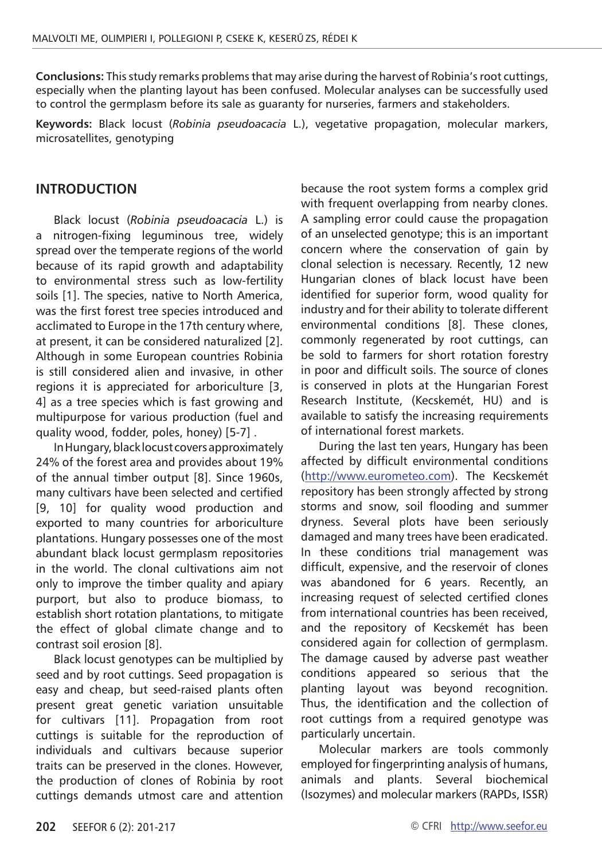**Conclusions:** This study remarks problems that may arise during the harvest of Robinia's root cuttings, especially when the planting layout has been confused. Molecular analyses can be successfully used to control the germplasm before its sale as guaranty for nurseries, farmers and stakeholders.

**Keywords:** Black locust (*Robinia pseudoacacia* L.), vegetative propagation, molecular markers, microsatellites, genotyping

## **INTRODUCTION**

Black locust (*Robinia pseudoacacia* L.) is a nitrogen-fixing leguminous tree, widely spread over the temperate regions of the world because of its rapid growth and adaptability to environmental stress such as low-fertility soils [1]. The species, native to North America, was the first forest tree species introduced and acclimated to Europe in the 17th century where, at present, it can be considered naturalized [2]. Although in some European countries Robinia is still considered alien and invasive, in other regions it is appreciated for arboriculture [3, 4] as a tree species which is fast growing and multipurpose for various production (fuel and quality wood, fodder, poles, honey) [5-7] .

In Hungary, black locust covers approximately 24% of the forest area and provides about 19% of the annual timber output [8]. Since 1960s, many cultivars have been selected and certified [9, 10] for quality wood production and exported to many countries for arboriculture plantations. Hungary possesses one of the most abundant black locust germplasm repositories in the world. The clonal cultivations aim not only to improve the timber quality and apiary purport, but also to produce biomass, to establish short rotation plantations, to mitigate the effect of global climate change and to contrast soil erosion [8].

Black locust genotypes can be multiplied by seed and by root cuttings. Seed propagation is easy and cheap, but seed-raised plants often present great genetic variation unsuitable for cultivars [11]. Propagation from root cuttings is suitable for the reproduction of individuals and cultivars because superior traits can be preserved in the clones. However, the production of clones of Robinia by root cuttings demands utmost care and attention

because the root system forms a complex grid with frequent overlapping from nearby clones. A sampling error could cause the propagation of an unselected genotype; this is an important concern where the conservation of gain by clonal selection is necessary. Recently, 12 new Hungarian clones of black locust have been identified for superior form, wood quality for industry and for their ability to tolerate different environmental conditions [8]. These clones, commonly regenerated by root cuttings, can be sold to farmers for short rotation forestry in poor and difficult soils. The source of clones is conserved in plots at the Hungarian Forest Research Institute, (Kecskemét, HU) and is available to satisfy the increasing requirements of international forest markets.

During the last ten years, Hungary has been affected by difficult environmental conditions (http://www.eurometeo.com). The Kecskemét repository has been strongly affected by strong storms and snow, soil flooding and summer dryness. Several plots have been seriously damaged and many trees have been eradicated. In these conditions trial management was difficult, expensive, and the reservoir of clones was abandoned for 6 years. Recently, an increasing request of selected certified clones from international countries has been received, and the repository of Kecskemét has been considered again for collection of germplasm. The damage caused by adverse past weather conditions appeared so serious that the planting layout was beyond recognition. Thus, the identification and the collection of root cuttings from a required genotype was particularly uncertain.

Molecular markers are tools commonly employed for fingerprinting analysis of humans, animals and plants. Several biochemical (Isozymes) and molecular markers (RAPDs, ISSR)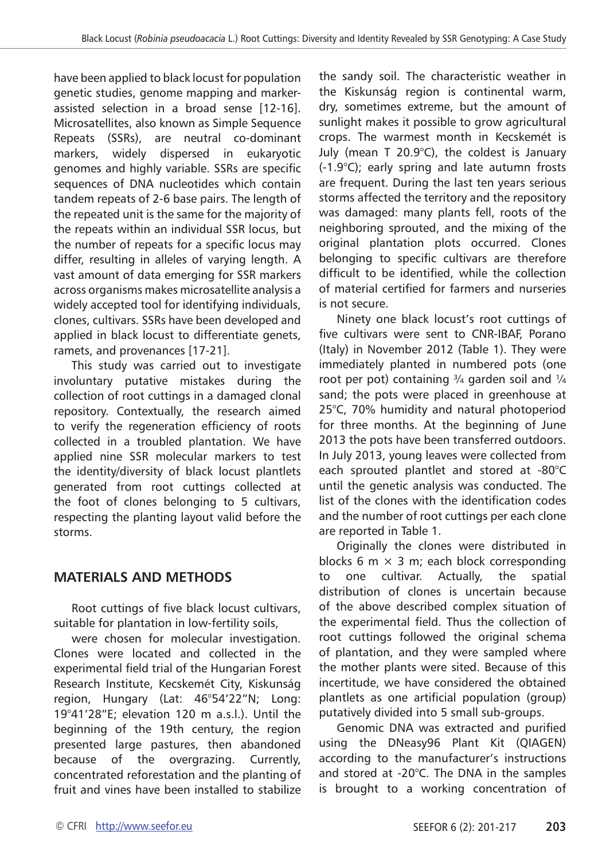have been applied to black locust for population genetic studies, genome mapping and markerassisted selection in a broad sense [12-16]. Microsatellites, also known as Simple Sequence Repeats (SSRs), are neutral co-dominant markers, widely dispersed in eukaryotic genomes and highly variable. SSRs are specific sequences of DNA nucleotides which contain tandem repeats of 2-6 base pairs. The length of the repeated unit is the same for the majority of the repeats within an individual SSR locus, but the number of repeats for a specific locus may differ, resulting in alleles of varying length. A vast amount of data emerging for SSR markers across organisms makes microsatellite analysis a widely accepted tool for identifying individuals, clones, cultivars. SSRs have been developed and applied in black locust to differentiate genets, ramets, and provenances [17-21].

This study was carried out to investigate involuntary putative mistakes during the collection of root cuttings in a damaged clonal repository. Contextually, the research aimed to verify the regeneration efficiency of roots collected in a troubled plantation. We have applied nine SSR molecular markers to test the identity/diversity of black locust plantlets generated from root cuttings collected at the foot of clones belonging to 5 cultivars, respecting the planting layout valid before the storms.

# **MATERIALS AND METHODS**

Root cuttings of five black locust cultivars, suitable for plantation in low-fertility soils,

were chosen for molecular investigation. Clones were located and collected in the experimental field trial of the Hungarian Forest Research Institute, Kecskemét City, Kiskunság region, Hungary (Lat: 46°54'22"N; Long: 19°41'28"E; elevation 120 m a.s.l.). Until the beginning of the 19th century, the region presented large pastures, then abandoned because of the overgrazing. Currently, concentrated reforestation and the planting of fruit and vines have been installed to stabilize

the sandy soil. The characteristic weather in the Kiskunság region is continental warm, dry, sometimes extreme, but the amount of sunlight makes it possible to grow agricultural crops. The warmest month in Kecskemét is July (mean T 20.9°C), the coldest is January (-1.9°C); early spring and late autumn frosts are frequent. During the last ten years serious storms affected the territory and the repository was damaged: many plants fell, roots of the neighboring sprouted, and the mixing of the original plantation plots occurred. Clones belonging to specific cultivars are therefore difficult to be identified, while the collection of material certified for farmers and nurseries is not secure.

Ninety one black locust's root cuttings of five cultivars were sent to CNR-IBAF, Porano (Italy) in November 2012 (Table 1). They were immediately planted in numbered pots (one root per pot) containing  $\frac{3}{4}$  garden soil and  $\frac{1}{4}$ sand; the pots were placed in greenhouse at 25°C, 70% humidity and natural photoperiod for three months. At the beginning of June 2013 the pots have been transferred outdoors. In July 2013, young leaves were collected from each sprouted plantlet and stored at -80°C until the genetic analysis was conducted. The list of the clones with the identification codes and the number of root cuttings per each clone are reported in Table 1.

Originally the clones were distributed in blocks 6 m  $\times$  3 m; each block corresponding to one cultivar. Actually, the spatial distribution of clones is uncertain because of the above described complex situation of the experimental field. Thus the collection of root cuttings followed the original schema of plantation, and they were sampled where the mother plants were sited. Because of this incertitude, we have considered the obtained plantlets as one artificial population (group) putatively divided into 5 small sub-groups.

Genomic DNA was extracted and purified using the DNeasy96 Plant Kit (QIAGEN) according to the manufacturer's instructions and stored at -20°C. The DNA in the samples is brought to a working concentration of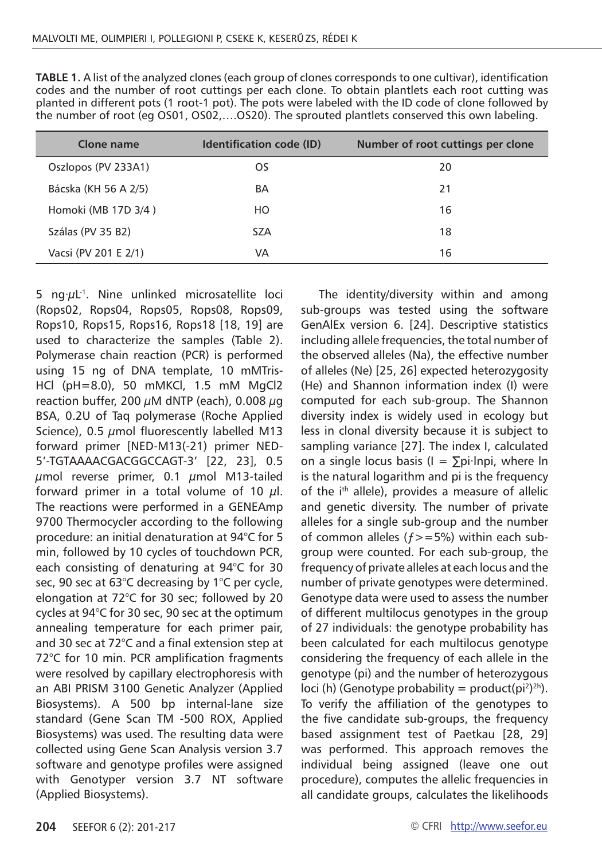| <b>Clone name</b>    | <b>Identification code (ID)</b> | Number of root cuttings per clone |
|----------------------|---------------------------------|-----------------------------------|
| Oszlopos (PV 233A1)  | <b>OS</b>                       | 20                                |
| Bácska (KH 56 A 2/5) | BA                              | 21                                |
| Homoki (MB 17D 3/4)  | HО                              | 16                                |
| Szálas (PV 35 B2)    | <b>SZA</b>                      | 18                                |
| Vacsi (PV 201 E 2/1) | VA                              | 16                                |

**TABLE 1.** A list of the analyzed clones (each group of clones corresponds to one cultivar), identification codes and the number of root cuttings per each clone. To obtain plantlets each root cutting was planted in different pots (1 root-1 pot). The pots were labeled with the ID code of clone followed by the number of root (eg OS01, OS02,….OS20). The sprouted plantlets conserved this own labeling.

5 ng∙µL-1. Nine unlinked microsatellite loci (Rops02, Rops04, Rops05, Rops08, Rops09, Rops10, Rops15, Rops16, Rops18 [18, 19] are used to characterize the samples (Table 2). Polymerase chain reaction (PCR) is performed using 15 ng of DNA template, 10 mMTris-HCl (pH=8.0), 50 mMKCl, 1.5 mM MgCl2 reaction buffer, 200  $\mu$ M dNTP (each), 0.008  $\mu$ g BSA, 0.2U of Taq polymerase (Roche Applied Science), 0.5  $\mu$ mol fluorescently labelled M13 forward primer [NED-M13(-21) primer NED-5'-TGTAAAACGACGGCCAGT-3' [22, 23], 0.5  $\mu$ mol reverse primer, 0.1  $\mu$ mol M13-tailed forward primer in a total volume of 10  $\mu$ l. The reactions were performed in a GENEAmp 9700 Thermocycler according to the following procedure: an initial denaturation at 94°C for 5 min, followed by 10 cycles of touchdown PCR, each consisting of denaturing at 94°C for 30 sec, 90 sec at 63°C decreasing by 1°C per cycle, elongation at 72°C for 30 sec; followed by 20 cycles at 94°C for 30 sec, 90 sec at the optimum annealing temperature for each primer pair, and 30 sec at 72°C and a final extension step at 72°C for 10 min. PCR amplification fragments were resolved by capillary electrophoresis with an ABI PRISM 3100 Genetic Analyzer (Applied Biosystems). A 500 bp internal-lane size standard (Gene Scan TM -500 ROX, Applied Biosystems) was used. The resulting data were collected using Gene Scan Analysis version 3.7 software and genotype profiles were assigned with Genotyper version 3.7 NT software (Applied Biosystems).

The identity/diversity within and among sub-groups was tested using the software GenAlEx version 6. [24]. Descriptive statistics including allele frequencies, the total number of the observed alleles (Na), the effective number of alleles (Ne) [25, 26] expected heterozygosity (He) and Shannon information index (I) were computed for each sub-group. The Shannon diversity index is widely used in ecology but less in clonal diversity because it is subject to sampling variance [27]. The index I, calculated on a single locus basis (I = ∑pi∙lnpi, where ln is the natural logarithm and pi is the frequency of the i<sup>th</sup> allele), provides a measure of allelic and genetic diversity. The number of private alleles for a single sub-group and the number of common alleles  $(f> = 5%)$  within each subgroup were counted. For each sub-group, the frequency of private alleles at each locus and the number of private genotypes were determined. Genotype data were used to assess the number of different multilocus genotypes in the group of 27 individuals: the genotype probability has been calculated for each multilocus genotype considering the frequency of each allele in the genotype (pi) and the number of heterozygous loci (h) (Genotype probability = product(pi<sup>2</sup>)<sup>2h</sup>). To verify the affiliation of the genotypes to the five candidate sub-groups, the frequency based assignment test of Paetkau [28, 29] was performed. This approach removes the individual being assigned (leave one out procedure), computes the allelic frequencies in all candidate groups, calculates the likelihoods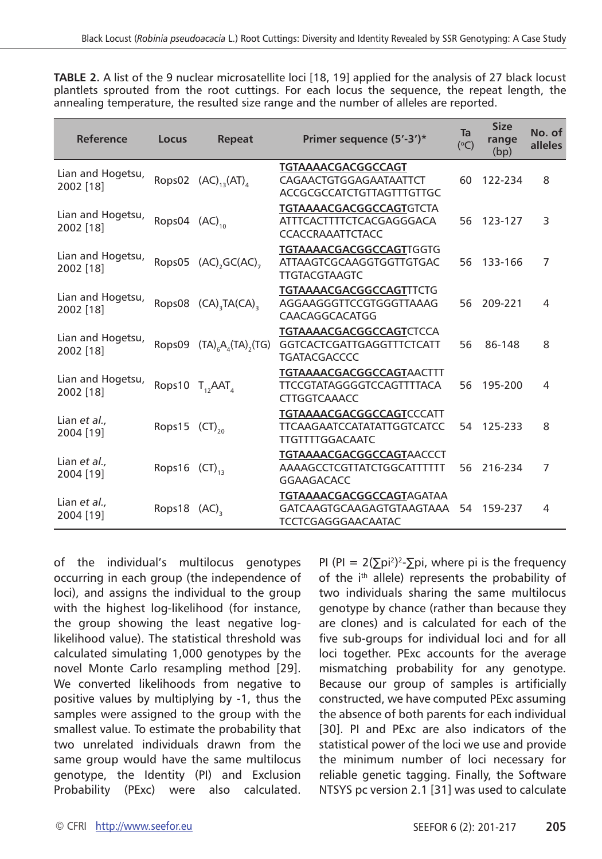**TABLE 2.** A list of the 9 nuclear microsatellite loci [18, 19] applied for the analysis of 27 black locust plantlets sprouted from the root cuttings. For each locus the sequence, the repeat length, the annealing temperature, the resulted size range and the number of alleles are reported.

| Reference                      | Locus                     | Repeat                                       | Primer sequence (5'-3')*                                                                  |    | <b>Size</b><br>range<br>(bp) | No. of<br>alleles |
|--------------------------------|---------------------------|----------------------------------------------|-------------------------------------------------------------------------------------------|----|------------------------------|-------------------|
| Lian and Hogetsu,<br>2002 [18] |                           | Rops02 $(AC)_{13}(AT)_{4}$                   | TGTAAAACGACGGCCAGT<br>CAGAACTGTGGAGAATAATTCT<br>ACCGCGCCATCTGTTAGTTTGTTGC                 | 60 | 122-234                      | 8                 |
| Lian and Hogetsu,<br>2002 [18] | Rops04 (AC) <sub>10</sub> |                                              | <b>TGTAAAACGACGGCCAGTGTCTA</b><br>ATTTCACTTTTCTCACGAGGGACA<br><b>CCACCRAAATTCTACC</b>     | 56 | 123-127                      | 3                 |
| Lian and Hogetsu,<br>2002 [18] |                           | Rops05 (AC) <sub>2</sub> GC(AC) <sub>7</sub> | <b>TGTAAAACGACGGCCAGTTGGTG</b><br>ATTAAGTCGCAAGGTGGTTGTGAC<br><b>TTGTACGTAAGTC</b>        | 56 | 133-166                      | $\overline{7}$    |
| Lian and Hogetsu,<br>2002 [18] |                           | Rops08 (CA) <sub>3</sub> TA(CA) <sub>3</sub> | <b>TGTAAAACGACGGCCAGTTTCTG</b><br>AGGAAGGGTTCCGTGGGTTAAAG<br>CAACAGGCACATGG               | 56 | 209-221                      | 4                 |
| Lian and Hogetsu,<br>2002 [18] |                           | Rops09 $(TA)_{6}A_{4}(TA)_{2}(TG)$           | <b>TGTAAAACGACGGCCAGTCTCCA</b><br><b>GGTCACTCGATTGAGGTTTCTCATT</b><br><b>TGATACGACCCC</b> | 56 | 86-148                       | 8                 |
| Lian and Hogetsu,<br>2002 [18] |                           | Rops10 T <sub>12</sub> AAT <sub>4</sub>      | <b>TGTAAAACGACGGCCAGTAACTTT</b><br>TTCCGTATAGGGGTCCAGTTTTACA<br><b>CTTGGTCAAACC</b>       | 56 | 195-200                      | 4                 |
| Lian et al.,<br>2004 [19]      | Rops15 $(CT)_{20}$        |                                              | <b>TGTAAAACGACGGCCAGTCCCATT</b><br><b>TTCAAGAATCCATATATTGGTCATCC</b><br>TTGTTTTGGACAATC   | 54 | 125-233                      | 8                 |
| Lian et al.,<br>2004 [19]      | Rops16 $(CT)_{13}$        |                                              | <b>TGTAAAACGACGGCCAGTAACCCT</b><br>AAAAGCCTCGTTATCTGGCATTTTTT<br><b>GGAAGACACC</b>        | 56 | 216-234                      | 7                 |
| Lian et al.,<br>2004 [19]      | Rops18 (AC) <sub>3</sub>  |                                              | <b>TGTAAAACGACGGCCAGTAGATAA</b><br>GATCAAGTGCAAGAGTGTAAGTAAA<br><b>TCCTCGAGGGAACAATAC</b> | 54 | 159-237                      | 4                 |

of the individual's multilocus genotypes occurring in each group (the independence of loci), and assigns the individual to the group with the highest log-likelihood (for instance, the group showing the least negative loglikelihood value). The statistical threshold was calculated simulating 1,000 genotypes by the novel Monte Carlo resampling method [29]. We converted likelihoods from negative to positive values by multiplying by -1, thus the samples were assigned to the group with the smallest value. To estimate the probability that two unrelated individuals drawn from the same group would have the same multilocus genotype, the Identity (PI) and Exclusion Probability (PExc) were also calculated.

PI (PI =  $2(\sumpi)^2$ - $\sum$ pi, where pi is the frequency of the i<sup>th</sup> allele) represents the probability of two individuals sharing the same multilocus genotype by chance (rather than because they are clones) and is calculated for each of the five sub-groups for individual loci and for all loci together. PExc accounts for the average mismatching probability for any genotype. Because our group of samples is artificially constructed, we have computed PExc assuming the absence of both parents for each individual [30]. PI and PExc are also indicators of the statistical power of the loci we use and provide the minimum number of loci necessary for reliable genetic tagging. Finally, the Software NTSYS pc version 2.1 [31] was used to calculate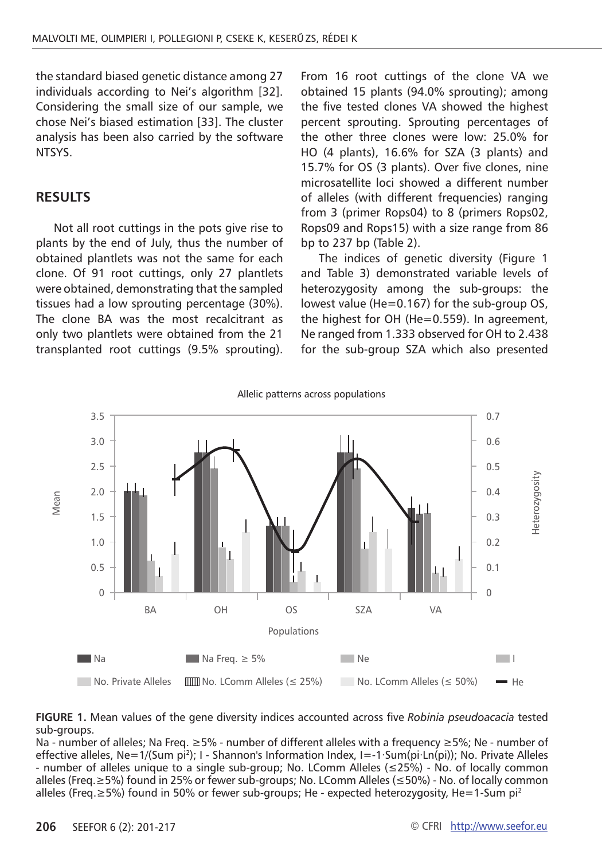the standard biased genetic distance among 27 individuals according to Nei's algorithm [32]. Considering the small size of our sample, we chose Nei's biased estimation [33]. The cluster analysis has been also carried by the software NTSYS.

### **RESULTS**

Not all root cuttings in the pots give rise to plants by the end of July, thus the number of obtained plantlets was not the same for each clone. Of 91 root cuttings, only 27 plantlets were obtained, demonstrating that the sampled tissues had a low sprouting percentage (30%). The clone BA was the most recalcitrant as only two plantlets were obtained from the 21 transplanted root cuttings (9.5% sprouting).

From 16 root cuttings of the clone VA we obtained 15 plants (94.0% sprouting); among the five tested clones VA showed the highest percent sprouting. Sprouting percentages of the other three clones were low: 25.0% for HO (4 plants), 16.6% for SZA (3 plants) and 15.7% for OS (3 plants). Over five clones, nine microsatellite loci showed a different number of alleles (with different frequencies) ranging from 3 (primer Rops04) to 8 (primers Rops02, Rops09 and Rops15) with a size range from 86 bp to 237 bp (Table 2).

The indices of genetic diversity (Figure 1 and Table 3) demonstrated variable levels of heterozygosity among the sub-groups: the lowest value (He=0.167) for the sub-group OS, the highest for OH (He=0.559). In agreement, Ne ranged from 1.333 observed for OH to 2.438 for the sub-group SZA which also presented



**FIGURE 1.** Mean values of the gene diversity indices accounted across five *Robinia pseudoacacia* tested sub-groups.

Na - number of alleles; Na Freq. ≥5% - number of different alleles with a frequency ≥5%; Ne - number of effective alleles, Ne=1/(Sum pi2); I - Shannon's Information Index, I=-1∙Sum(pi∙Ln(pi)); No. Private Alleles - number of alleles unique to a single sub-group; No. LComm Alleles (≤25%) - No. of locally common alleles (Freq.≥5%) found in 25% or fewer sub-groups; No. LComm Alleles (≤50%) - No. of locally common alleles (Freq.≥5%) found in 50% or fewer sub-groups; He - expected heterozygosity, He=1-Sum pi<sup>2</sup>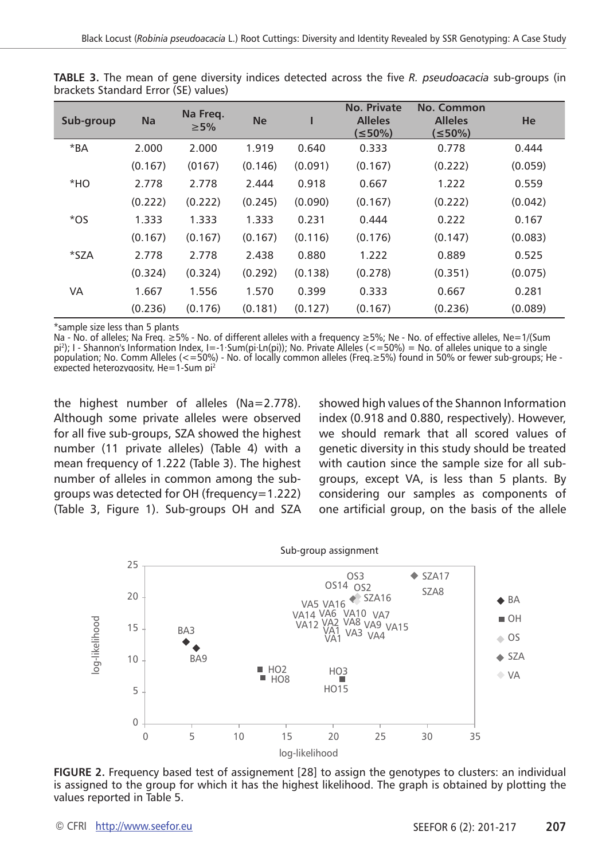| Sub-group | <b>Na</b> | Na Freq.<br>$\geq 5\%$ | <b>Ne</b> |         | No. Private<br><b>Alleles</b><br>(≤50%) | <b>No. Common</b><br><b>Alleles</b><br>(≤50%) | He      |
|-----------|-----------|------------------------|-----------|---------|-----------------------------------------|-----------------------------------------------|---------|
| $*BA$     | 2.000     | 2.000                  | 1.919     | 0.640   | 0.333                                   | 0.778                                         | 0.444   |
|           | (0.167)   | (0167)                 | (0.146)   | (0.091) | (0.167)                                 | (0.222)                                       | (0.059) |
| *HO       | 2.778     | 2.778                  | 2.444     | 0.918   | 0.667                                   | 1.222                                         | 0.559   |
|           | (0.222)   | (0.222)                | (0.245)   | (0.090) | (0.167)                                 | (0.222)                                       | (0.042) |
| $*OS$     | 1.333     | 1.333                  | 1.333     | 0.231   | 0.444                                   | 0.222                                         | 0.167   |
|           | (0.167)   | (0.167)                | (0.167)   | (0.116) | (0.176)                                 | (0.147)                                       | (0.083) |
| *SZA      | 2.778     | 2.778                  | 2.438     | 0.880   | 1.222                                   | 0.889                                         | 0.525   |
|           | (0.324)   | (0.324)                | (0.292)   | (0.138) | (0.278)                                 | (0.351)                                       | (0.075) |
| VA        | 1.667     | 1.556                  | 1.570     | 0.399   | 0.333                                   | 0.667                                         | 0.281   |
|           | (0.236)   | (0.176)                | (0.181)   | (0.127) | (0.167)                                 | (0.236)                                       | (0.089) |

**TABLE 3.** The mean of gene diversity indices detected across the five *R. pseudoacacia* sub-groups (in brackets Standard Error (SE) values)

\*sample size less than 5 plants

Na - No. of alleles; Na Freq. ≥5% - No. of different alleles with a frequency ≥5%; Ne - No. of effective alleles, Ne=1/(Sum pi2); I - Shannon's Information Index, I=-1∙Sum(pi∙Ln(pi)); No. Private Alleles (<=50%) = No. of alleles unique to a single population; No. Comm Alleles (<=50%) - No. of locally common alleles (Freq.≥5%) found in 50% or fewer sub-groups; He expected heterozygosity,  $He=1$ -Sum pi<sup>2</sup>

the highest number of alleles (Na=2.778). Although some private alleles were observed for all five sub-groups, SZA showed the highest number (11 private alleles) (Table 4) with a mean frequency of 1.222 (Table 3). The highest number of alleles in common among the subgroups was detected for OH (frequency=1.222) (Table 3, Figure 1). Sub-groups OH and SZA showed high values of the Shannon Information index (0.918 and 0.880, respectively). However, we should remark that all scored values of genetic diversity in this study should be treated with caution since the sample size for all subgroups, except VA, is less than 5 plants. By considering our samples as components of one artificial group, on the basis of the allele



**FIGURE 2.** Frequency based test of assignement [28] to assign the genotypes to clusters: an individual is assigned to the group for which it has the highest likelihood. The graph is obtained by plotting the values reported in Table 5.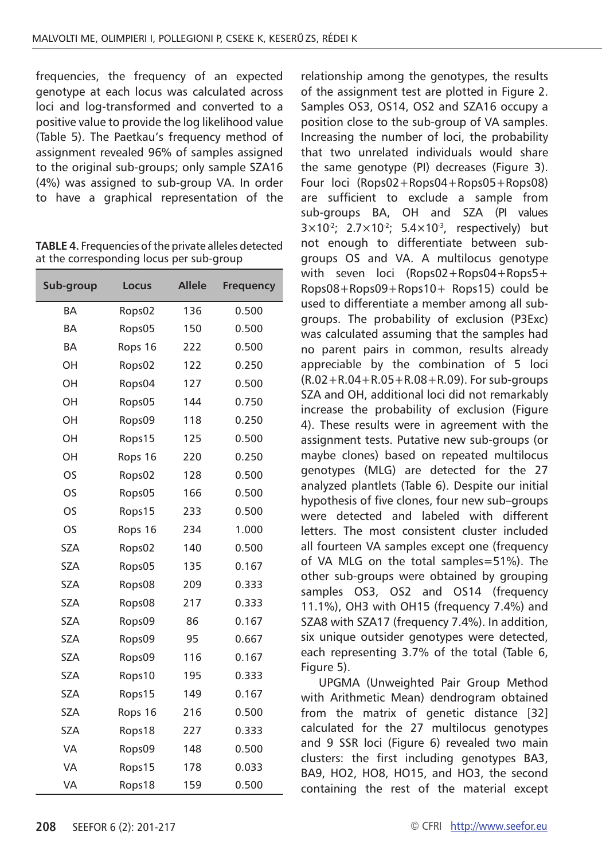frequencies, the frequency of an expected genotype at each locus was calculated across loci and log-transformed and converted to a positive value to provide the log likelihood value (Table 5). The Paetkau's frequency method of assignment revealed 96% of samples assigned to the original sub-groups; only sample SZA16 (4%) was assigned to sub-group VA. In order to have a graphical representation of the

**TABLE 4.** Frequencies of the private alleles detected at the corresponding locus per sub-group

| Sub-group  | Locus   | <b>Allele</b> | <b>Frequency</b> |
|------------|---------|---------------|------------------|
| BA         | Rops02  | 136           | 0.500            |
| <b>BA</b>  | Rops05  | 150           | 0.500            |
| <b>BA</b>  | Rops 16 | 222           | 0.500            |
| OН         | Rops02  | 122           | 0.250            |
| OН         | Rops04  | 127           | 0.500            |
| OH         | Rops05  | 144           | 0.750            |
| OН         | Rops09  | 118           | 0.250            |
| OН         | Rops15  | 125           | 0.500            |
| OН         | Rops 16 | 220           | 0.250            |
| OS         | Rops02  | 128           | 0.500            |
| OS         | Rops05  | 166           | 0.500            |
| OS         | Rops15  | 233           | 0.500            |
| OS         | Rops 16 | 234           | 1.000            |
| <b>SZA</b> | Rops02  | 140           | 0.500            |
| SZA        | Rops05  | 135           | 0.167            |
| <b>SZA</b> | Rops08  | 209           | 0.333            |
| <b>SZA</b> | Rops08  | 217           | 0.333            |
| <b>SZA</b> | Rops09  | 86            | 0.167            |
| <b>SZA</b> | Rops09  | 95            | 0.667            |
| <b>SZA</b> | Rops09  | 116           | 0.167            |
| <b>SZA</b> | Rops10  | 195           | 0.333            |
| <b>SZA</b> | Rops15  | 149           | 0.167            |
| <b>SZA</b> | Rops 16 | 216           | 0.500            |
| <b>SZA</b> | Rops18  | 227           | 0.333            |
| VA         | Rops09  | 148           | 0.500            |
| VA         | Rops15  | 178           | 0.033            |
| <b>VA</b>  | Rops18  | 159           | 0.500            |

relationship among the genotypes, the results of the assignment test are plotted in Figure 2. Samples OS3, OS14, OS2 and SZA16 occupy a position close to the sub-group of VA samples. Increasing the number of loci, the probability that two unrelated individuals would share the same genotype (PI) decreases (Figure 3). Four loci (Rops02+Rops04+Rops05+Rops08) are sufficient to exclude a sample from sub-groups BA, OH and SZA (PI values  $3\times10^{-2}$ ;  $2.7\times10^{-2}$ ;  $5.4\times10^{-3}$ , respectively) but not enough to differentiate between subgroups OS and VA. A multilocus genotype with seven loci (Rops02+Rops04+Rops5+ Rops08+Rops09+Rops10+ Rops15) could be used to differentiate a member among all subgroups. The probability of exclusion (P3Exc) was calculated assuming that the samples had no parent pairs in common, results already appreciable by the combination of 5 loci (R.02+R.04+R.05+R.08+R.09). For sub-groups SZA and OH, additional loci did not remarkably increase the probability of exclusion (Figure 4). These results were in agreement with the assignment tests. Putative new sub-groups (or maybe clones) based on repeated multilocus genotypes (MLG) are detected for the 27 analyzed plantlets (Table 6). Despite our initial hypothesis of five clones, four new sub–groups were detected and labeled with different letters. The most consistent cluster included all fourteen VA samples except one (frequency of VA MLG on the total samples=51%). The other sub-groups were obtained by grouping samples OS3, OS2 and OS14 (frequency 11.1%), OH3 with OH15 (frequency 7.4%) and SZA8 with SZA17 (frequency 7.4%). In addition, six unique outsider genotypes were detected, each representing 3.7% of the total (Table 6, Figure 5).

UPGMA (Unweighted Pair Group Method with Arithmetic Mean) dendrogram obtained from the matrix of genetic distance [32] calculated for the 27 multilocus genotypes and 9 SSR loci (Figure 6) revealed two main clusters: the first including genotypes BA3, BA9, HO2, HO8, HO15, and HO3, the second containing the rest of the material except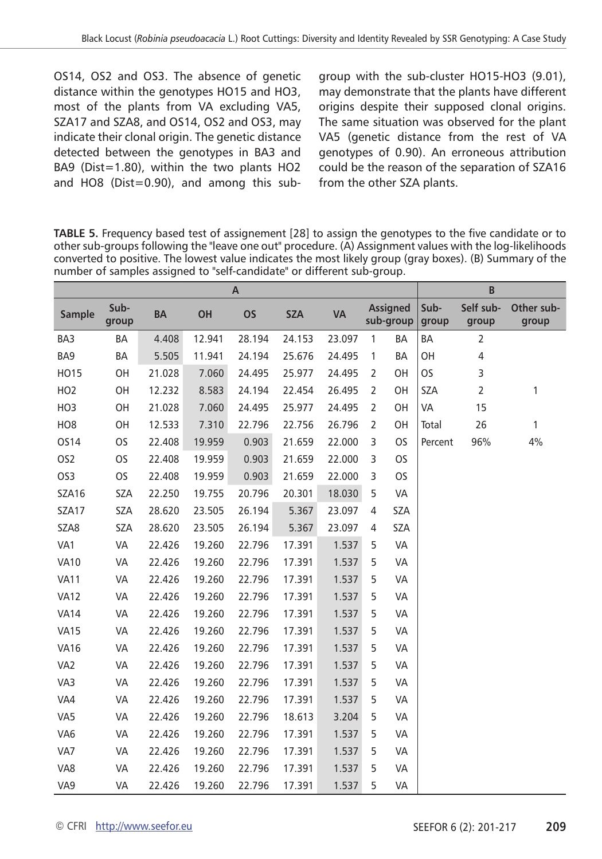OS14, OS2 and OS3. The absence of genetic distance within the genotypes HO15 and HO3, most of the plants from VA excluding VA5, SZA17 and SZA8, and OS14, OS2 and OS3, may indicate their clonal origin. The genetic distance detected between the genotypes in BA3 and BA9 (Dist=1.80), within the two plants HO2 and HO8 (Dist=0.90), and among this sub-

group with the sub-cluster HO15-HO3 (9.01), may demonstrate that the plants have different origins despite their supposed clonal origins. The same situation was observed for the plant VA5 (genetic distance from the rest of VA genotypes of 0.90). An erroneous attribution could be the reason of the separation of SZA16 from the other SZA plants.

**TABLE 5.** Frequency based test of assignement [28] to assign the genotypes to the five candidate or to other sub-groups following the "leave one out" procedure. (A) Assignment values with the log-likelihoods converted to positive. The lowest value indicates the most likely group (gray boxes). (B) Summary of the number of samples assigned to "self-candidate" or different sub-group.

|                 |               | B         |        |           |            |           |                |                              |               |                    |                     |
|-----------------|---------------|-----------|--------|-----------|------------|-----------|----------------|------------------------------|---------------|--------------------|---------------------|
| Sample          | Sub-<br>group | <b>BA</b> | OH     | <b>OS</b> | <b>SZA</b> | <b>VA</b> |                | <b>Assigned</b><br>sub-group | Sub-<br>group | Self sub-<br>group | Other sub-<br>group |
| BA3             | <b>BA</b>     | 4.408     | 12.941 | 28.194    | 24.153     | 23.097    | $\mathbf{1}$   | <b>BA</b>                    | <b>BA</b>     | $\overline{2}$     |                     |
| BA9             | BA            | 5.505     | 11.941 | 24.194    | 25.676     | 24.495    | 1              | <b>BA</b>                    | OH            | 4                  |                     |
| HO15            | OH            | 21.028    | 7.060  | 24.495    | 25.977     | 24.495    | $\overline{2}$ | OH                           | <b>OS</b>     | 3                  |                     |
| HO <sub>2</sub> | OH            | 12.232    | 8.583  | 24.194    | 22.454     | 26.495    | $\overline{2}$ | OH                           | <b>SZA</b>    | $\overline{2}$     | 1                   |
| HO <sub>3</sub> | OH            | 21.028    | 7.060  | 24.495    | 25.977     | 24.495    | $\overline{2}$ | OH                           | <b>VA</b>     | 15                 |                     |
| HO <sub>8</sub> | OH            | 12.533    | 7.310  | 22.796    | 22.756     | 26.796    | $\overline{2}$ | OH                           | Total         | 26                 | 1                   |
| OS14            | <b>OS</b>     | 22.408    | 19.959 | 0.903     | 21.659     | 22.000    | 3              | <b>OS</b>                    | Percent       | 96%                | 4%                  |
| OS <sub>2</sub> | <b>OS</b>     | 22.408    | 19.959 | 0.903     | 21.659     | 22.000    | 3              | <b>OS</b>                    |               |                    |                     |
| OS <sub>3</sub> | <b>OS</b>     | 22.408    | 19.959 | 0.903     | 21.659     | 22.000    | 3              | <b>OS</b>                    |               |                    |                     |
| SZA16           | SZA           | 22.250    | 19.755 | 20.796    | 20.301     | 18.030    | 5              | VA                           |               |                    |                     |
| SZA17           | SZA           | 28.620    | 23.505 | 26.194    | 5.367      | 23.097    | $\overline{4}$ | SZA                          |               |                    |                     |
| SZA8            | <b>SZA</b>    | 28.620    | 23.505 | 26.194    | 5.367      | 23.097    | $\overline{4}$ | <b>SZA</b>                   |               |                    |                     |
| VA1             | VA            | 22.426    | 19.260 | 22.796    | 17.391     | 1.537     | 5              | <b>VA</b>                    |               |                    |                     |
| <b>VA10</b>     | VA            | 22.426    | 19.260 | 22.796    | 17.391     | 1.537     | 5              | <b>VA</b>                    |               |                    |                     |
| <b>VA11</b>     | VA            | 22.426    | 19.260 | 22.796    | 17.391     | 1.537     | 5              | <b>VA</b>                    |               |                    |                     |
| <b>VA12</b>     | VA            | 22.426    | 19.260 | 22.796    | 17.391     | 1.537     | 5              | <b>VA</b>                    |               |                    |                     |
| <b>VA14</b>     | VA            | 22.426    | 19.260 | 22.796    | 17.391     | 1.537     | 5              | <b>VA</b>                    |               |                    |                     |
| <b>VA15</b>     | VA            | 22.426    | 19.260 | 22.796    | 17.391     | 1.537     | 5              | <b>VA</b>                    |               |                    |                     |
| <b>VA16</b>     | <b>VA</b>     | 22.426    | 19.260 | 22.796    | 17.391     | 1.537     | 5              | <b>VA</b>                    |               |                    |                     |
| VA <sub>2</sub> | <b>VA</b>     | 22.426    | 19.260 | 22.796    | 17.391     | 1.537     | 5              | <b>VA</b>                    |               |                    |                     |
| VA3             | VA            | 22.426    | 19.260 | 22.796    | 17.391     | 1.537     | 5              | <b>VA</b>                    |               |                    |                     |
| VA4             | VA            | 22.426    | 19.260 | 22.796    | 17.391     | 1.537     | 5              | <b>VA</b>                    |               |                    |                     |
| VA5             | VA            | 22.426    | 19.260 | 22.796    | 18.613     | 3.204     | 5              | <b>VA</b>                    |               |                    |                     |
| VA <sub>6</sub> | <b>VA</b>     | 22.426    | 19.260 | 22.796    | 17.391     | 1.537     | 5              | <b>VA</b>                    |               |                    |                     |
| VA7             | VA            | 22.426    | 19.260 | 22.796    | 17.391     | 1.537     | 5              | <b>VA</b>                    |               |                    |                     |
| VA8             | VA            | 22.426    | 19.260 | 22.796    | 17.391     | 1.537     | 5              | <b>VA</b>                    |               |                    |                     |
| VA9             | VA            | 22.426    | 19.260 | 22.796    | 17.391     | 1.537     | 5              | <b>VA</b>                    |               |                    |                     |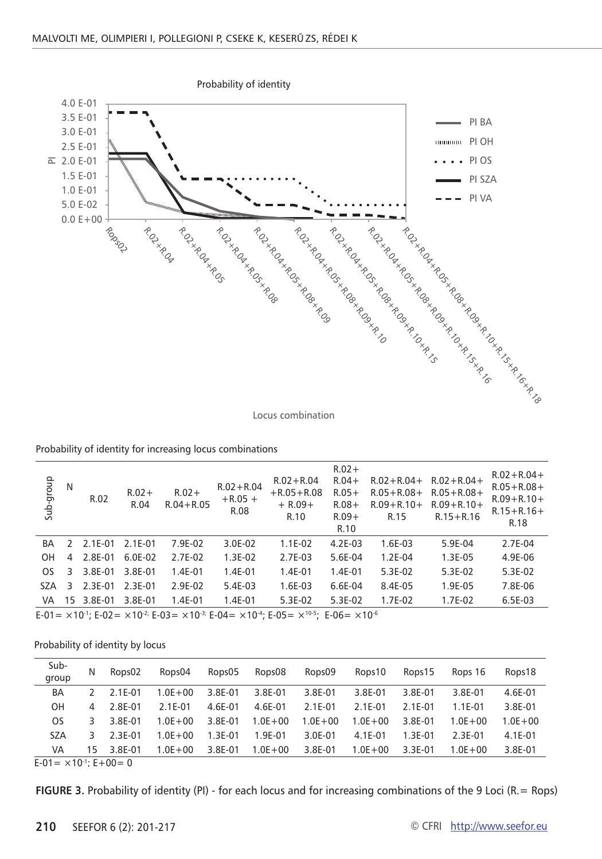

Locus combination

#### Probability of identity for increasing locus combinations

| Sub-group  | N             | R.02    | $R.02 +$<br>R.04 | $R.02 +$<br>$R.04 + R.05$ | $R.02 + R.04$<br>$+$ R.05 +<br>R.08 | $R.02 + R.04$<br>$+R.05 + R.08$<br>$+$ R.09+<br>R.10                                                                                                      | $R.02+$<br>$R.04+$<br>$R.05+$<br>$R.08+$<br>$R.09+$<br>R.10 | $R.02 + R.04 +$<br>$R.05 + R.08 +$<br>$R.09 + R.10 +$<br>R.15 | $R.02 + R.04 +$<br>$R.05 + R.08 +$<br>$R.09 + R.10 +$<br>$R.15 + R.16$ | $R.02 + R.04 +$<br>$R.05 + R.08 +$<br>$R.09 + R.10 +$<br>$R.15 + R.16 +$<br>R.18 |
|------------|---------------|---------|------------------|---------------------------|-------------------------------------|-----------------------------------------------------------------------------------------------------------------------------------------------------------|-------------------------------------------------------------|---------------------------------------------------------------|------------------------------------------------------------------------|----------------------------------------------------------------------------------|
| <b>BA</b>  | $\mathcal{P}$ | 2.1E-01 | 2.1E-01          | 7.9E-02                   | 3.0E-02                             | $1.1E-02$                                                                                                                                                 | 4.2E-03                                                     | 1.6E-03                                                       | 5.9E-04                                                                | 2.7E-04                                                                          |
| <b>OH</b>  | 4             | 2.8E-01 | 6.0E-02          | 2.7E-02                   | $1.3E-02$                           | 2.7E-03                                                                                                                                                   | 5.6E-04                                                     | $1.2E-04$                                                     | 1.3E-05                                                                | 4.9E-06                                                                          |
| OS.        | 3             | 3.8E-01 | 3.8E-01          | $1.4E - 01$               | 1.4E-01                             | 1.4E-01                                                                                                                                                   | $1.4E - 01$                                                 | 5.3E-02                                                       | 5.3E-02                                                                | 5.3E-02                                                                          |
| <b>SZA</b> | 3             | 2.3E-01 | 2.3E-01          | 2.9E-02                   | $5.4E-03$                           | 1.6E-03                                                                                                                                                   | 6.6E-04                                                     | 8.4E-05                                                       | 1.9E-05                                                                | 7.8E-06                                                                          |
| VA.        | 15            | 3.8E-01 | 3.8E-01          | 1.4E-01                   | 1.4E-01                             | 5.3E-02                                                                                                                                                   | 5.3E-02                                                     | 1.7E-02                                                       | 1.7E-02                                                                | 6.5E-03                                                                          |
|            |               |         |                  |                           |                                     | $E-01 = \times 10^{-1}$ : $E-02 = \times 10^{-2}$ ; $E-03 = \times 10^{-3}$ ; $E-04 = \times 10^{-4}$ : $E-05 = \times 10^{-5}$ ; $E-06 = \times 10^{-6}$ |                                                             |                                                               |                                                                        |                                                                                  |

Probability of identity by locus

| Sub-<br>group                             |                | Rops02      | Rops04       | Rops05      | Rops08      | Rops09       | Rops10      | Rops15      | Rops 16      | Rops18      |
|-------------------------------------------|----------------|-------------|--------------|-------------|-------------|--------------|-------------|-------------|--------------|-------------|
| <b>BA</b>                                 | $\overline{2}$ | 2 1 F - 0 1 | $1.0F + 0.0$ | 3 8F-01     | 3 8F-01     | 3 8F-01      | 3 8F-01     | 3 8F-01     | 3 8F-01      | 4.6E-01     |
| OΗ                                        | 4              | 2 8F-01     | 2 1 F-01     | 46F-01      | 4.6E-01     | 2 1 F-01     | 2 1 F-01    | 2 1 F-01    | $11F-01$     | 3.8E-01     |
| <b>OS</b>                                 | 3.             | 3 8F-01     | $1.0F + 0.0$ | 3.8E-01     | $1.0E + 00$ | $1.0F + 0.0$ | $1.0E + 00$ | 3 8F-01     | $1.0F + 0.0$ | $1.0E + 00$ |
| <b>SZA</b>                                | 3.             | 2 3 F - 0 1 | $1.0F + 0.0$ | $1.3F - 01$ | 1 9F-01     | 3 OF-01      | 4 1 F-01    | $1.3F - 01$ | 2 3 F - 0 1  | $4.1E - 01$ |
| VA                                        | 15             | 3.8E-01     | $1.0E + 00$  | 3.8E-01     | $1.0E + 00$ | 3.8E-01      | $1.0E + 00$ | 3 3 F-01    | $1.0F + 0.0$ | 3.8E-01     |
| $F \cap 4 \sim 40.1$ , $F \cap 00 \sim 0$ |                |             |              |             |             |              |             |             |              |             |

 $E-01 = \times 10^{-1}$ ;  $E+00= 0$ 

**FIGURE 3.** Probability of identity (PI) - for each locus and for increasing combinations of the 9 Loci (R.= Rops)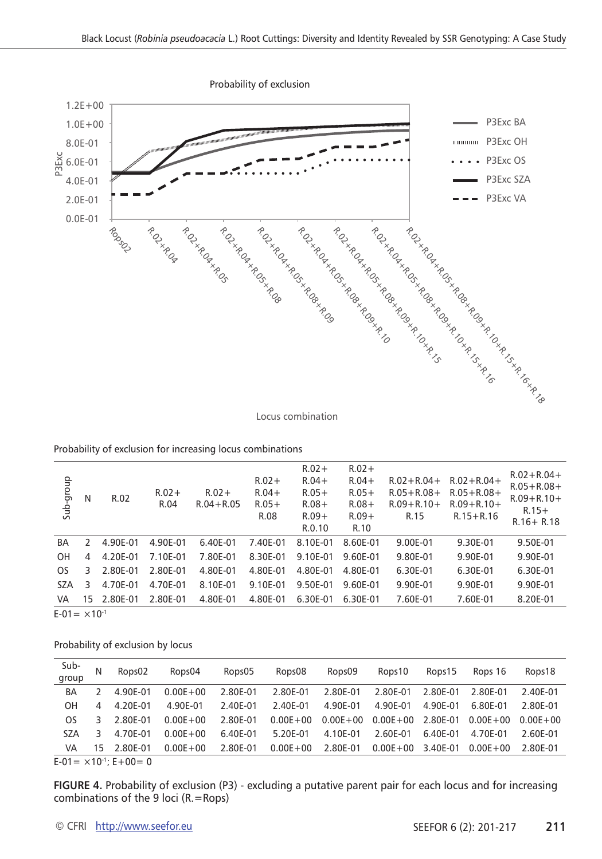

Locus combination

#### Probability of exclusion for increasing locus combinations

| Sub-group               | N              | R.02        | $R.02 +$<br>R.04 | $R.02 +$<br>$R.04 + R.05$ | $R.02+$<br>$R.04+$<br>$R.05+$<br>R.08 | $R.02 +$<br>$R.04+$<br>$R.05+$<br>$R.08+$<br>$R.09+$<br>R.O.10 | $R.02 +$<br>$R.04+$<br>$R.05+$<br>$R.08+$<br>$R.09+$<br>R.10 | $R.02 + R.04 +$<br>$R.05 + R.08 +$<br>$R.09 + R.10 +$<br>R.15 | $R.02 + R.04 +$<br>$R.05 + R.08 +$<br>$R.09 + R.10 +$<br>$R.15 + R.16$ | $R.02 + R.04 +$<br>$R.05 + R.08 +$<br>$R.09 + R.10 +$<br>$R.15+$<br>$R.16 + R.18$ |
|-------------------------|----------------|-------------|------------------|---------------------------|---------------------------------------|----------------------------------------------------------------|--------------------------------------------------------------|---------------------------------------------------------------|------------------------------------------------------------------------|-----------------------------------------------------------------------------------|
| BA                      | $\mathcal{P}$  | 4.90E-01    | 4.90E-01         | 6.40E-01                  | 7.40E-01                              | 8.10E-01                                                       | 8.60E-01                                                     | 9.00E-01                                                      | 9.30E-01                                                               | 9.50E-01                                                                          |
| <b>OH</b>               | $\overline{4}$ | 4.20E-01    | 7.10E-01         | 7.80E-01                  | 8.30E-01                              | 9.10E-01                                                       | 960F-01                                                      | 9.80E-01                                                      | 9.90E-01                                                               | 9.90E-01                                                                          |
| <b>OS</b>               | 3.             | 280F-01     | 2.80E-01         | 4.80E-01                  | 480F-01                               | 4 80F-01                                                       | 480F-01                                                      | 6.30E-01                                                      | 6.30E-01                                                               | 6.30E-01                                                                          |
| <b>SZA</b>              | 3              | 4.70E-01    | 4.70E-01         | 8.10E-01                  | 9.10E-01                              | 9.50E-01                                                       | 9.60E-01                                                     | 9.90E-01                                                      | 9.90E-01                                                               | 9.90E-01                                                                          |
| VA                      |                | 15 2.80E-01 | 2.80E-01         | 4.80E-01                  | 4.80E-01                              | 6.30E-01                                                       | 6.30E-01                                                     | 7.60E-01                                                      | 7.60E-01                                                               | 8.20E-01                                                                          |
| $E-01 = \times 10^{-1}$ |                |             |                  |                           |                                       |                                                                |                                                              |                                                               |                                                                        |                                                                                   |

Probability of exclusion by locus

| Sub-<br>group |    | Rops02                                    | Rops04       | Rops05   | Rops08       | Rops09       | Rops10       | Rops15   | Rops 16      | Rops18       |
|---------------|----|-------------------------------------------|--------------|----------|--------------|--------------|--------------|----------|--------------|--------------|
| <b>BA</b>     |    | 4 90F-01                                  | $0.00F + 00$ | 280F-01  | 2.80E-01     | 280F-01      | 280F-01      | 2 80F-01 | 280F-01      | 240F-01      |
| OН            | 4  | 4 20F-01                                  | 4 90F-01     | 2.40E-01 | 240F-01      | 4 90F-01     | 4 90F-01     | 4 90F-01 | 680F-01      | 280F-01      |
| 0S            | 3. | 2 80F-01                                  | $0.00E + 00$ | 2.80E-01 | $0.00F + 00$ | $0.00F + 00$ | $0.00E + 00$ | 2.80E-01 | $0.00F + 00$ | $0.00F + 00$ |
| <b>SZA</b>    | 3. | 4 70F-01                                  | $0.00F + 00$ | 640F-01  | 5 20F-01     | 4 10F-01     | 260F-01      | 6.40E-01 | 4 70F-01     | 260F-01      |
| VA            |    | 15 2 80F-01                               | $0.00E + 00$ | 2.80E-01 | $0.00E + 00$ | 2.80E-01     | $0.00E + 00$ | 340F-01  | $0.00F + 00$ | 280F-01      |
|               |    | $F \cap 4 \sim 40.1$ . $F \cap 00 \sim 0$ |              |          |              |              |              |          |              |              |

 $E-01 = \times 10^{-1}$ ;  $E+00= 0$ 

**FIGURE 4.** Probability of exclusion (P3) - excluding a putative parent pair for each locus and for increasing combinations of the 9 loci (R.=Rops)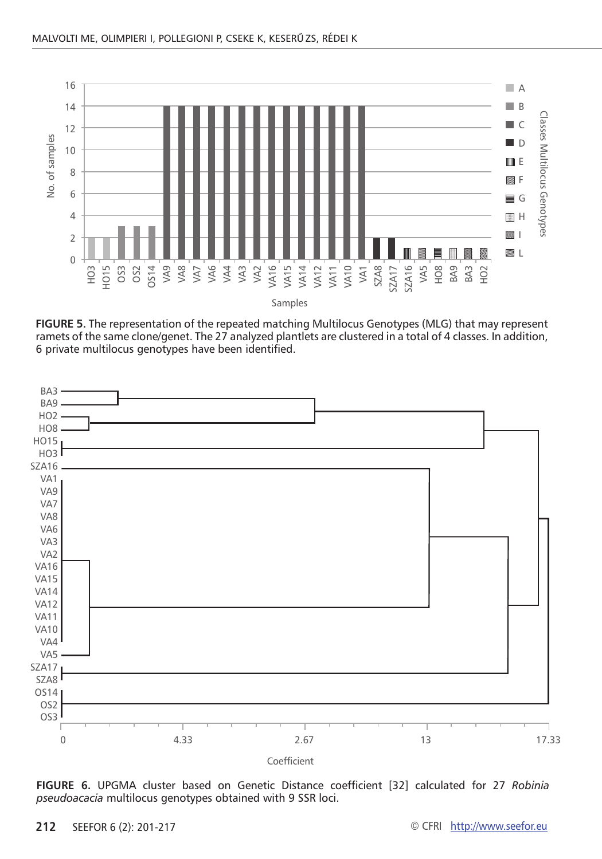

**FIGURE 5.** The representation of the repeated matching Multilocus Genotypes (MLG) that may represent ramets of the same clone/genet. The 27 analyzed plantlets are clustered in a total of 4 classes. In addition, 6 private multilocus genotypes have been identified.



**Figure 6.** UPGMA cluster based on Genetic Distance coefficient [32] calculated for 27 *Robinia pseudoacacia* multilocus genotypes obtained with 9 SSR loci.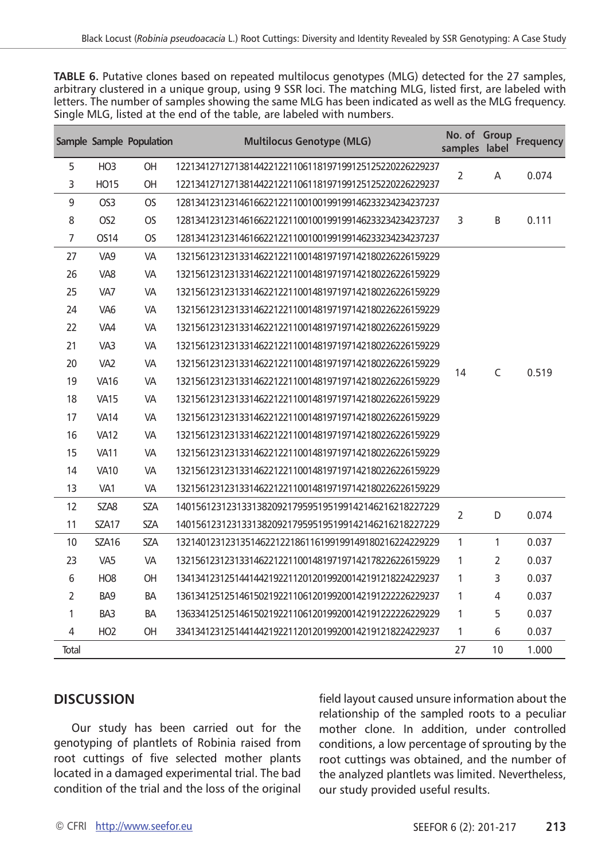**TABLE 6.** Putative clones based on repeated multilocus genotypes (MLG) detected for the 27 samples, arbitrary clustered in a unique group, using 9 SSR loci. The matching MLG, listed first, are labeled with letters. The number of samples showing the same MLG has been indicated as well as the MLG frequency. Single MLG, listed at the end of the table, are labeled with numbers.

|       |                 | Sample Sample Population | <b>Multilocus Genotype (MLG)</b>                       | samples label  |                | No. of Group Frequency |
|-------|-----------------|--------------------------|--------------------------------------------------------|----------------|----------------|------------------------|
| 5     | HO <sub>3</sub> | OH                       | 122134127127138144221221106118197199125125220226229237 | $\overline{2}$ | A              | 0.074                  |
| 3     | HO15            | OH                       | 122134127127138144221221106118197199125125220226229237 |                |                |                        |
| 9     | OS <sub>3</sub> | OS.                      | 128134123123146166221221100100199199146233234234237237 |                |                |                        |
| 8     | OS <sub>2</sub> | OS.                      | 128134123123146166221221100100199199146233234234237237 | 3              | B              | 0.111                  |
| 7     | <b>OS14</b>     | <b>OS</b>                | 128134123123146166221221100100199199146233234234237237 |                |                |                        |
| 27    | VA <sub>9</sub> | <b>VA</b>                | 132156123123133146221221100148197197142180226226159229 |                |                |                        |
| 26    | VA <sub>8</sub> | VA                       | 132156123123133146221221100148197197142180226226159229 |                |                |                        |
| 25    | VA7             | VA                       | 132156123123133146221221100148197197142180226226159229 |                |                |                        |
| 24    | VA <sub>6</sub> | VA                       | 132156123123133146221221100148197197142180226226159229 |                |                |                        |
| 22    | VA4             | VA                       | 132156123123133146221221100148197197142180226226159229 |                |                |                        |
| 21    | VA3             | VA                       | 132156123123133146221221100148197197142180226226159229 |                |                |                        |
| 20    | VA <sub>2</sub> | VA                       | 132156123123133146221221100148197197142180226226159229 |                | C              | 0.519                  |
| 19    | <b>VA16</b>     | VA                       | 132156123123133146221221100148197197142180226226159229 | 14             |                |                        |
| 18    | <b>VA15</b>     | VA                       | 132156123123133146221221100148197197142180226226159229 |                |                |                        |
| 17    | <b>VA14</b>     | VA                       | 132156123123133146221221100148197197142180226226159229 |                |                |                        |
| 16    | <b>VA12</b>     | VA                       | 132156123123133146221221100148197197142180226226159229 |                |                |                        |
| 15    | <b>VA11</b>     | VA                       | 132156123123133146221221100148197197142180226226159229 |                |                |                        |
| 14    | <b>VA10</b>     | VA                       | 132156123123133146221221100148197197142180226226159229 |                |                |                        |
| 13    | VA1             | VA                       | 132156123123133146221221100148197197142180226226159229 |                |                |                        |
| 12    | SZA8            | SZA                      | 1401561231231331382092179595195199142146216218227229   | $\overline{2}$ |                | 0.074                  |
| 11    | SZA17           | <b>SZA</b>               | 1401561231231331382092179595195199142146216218227229   |                | D              |                        |
| 10    | SZA16           | SZA                      | 13214012312313514622122186116199199149180216224229229  | 1              | 1              | 0.037                  |
| 23    | VA <sub>5</sub> | VA                       | 132156123123133146221221100148197197142178226226159229 | $\mathbf{1}$   | $\overline{2}$ | 0.037                  |
| 6     | HO <sub>8</sub> | OН                       | 134134123125144144219221120120199200142191218224229237 | 1              | 3              | 0.037                  |
| 2     | BA <sub>9</sub> | BA                       | 136134125125146150219221106120199200142191222226229237 | 1              | $\overline{4}$ | 0.037                  |
| 1     | BA <sub>3</sub> | BA                       | 136334125125146150219221106120199200142191222226229229 | 1              | 5              | 0.037                  |
| 4     | HO <sub>2</sub> | OH                       | 334134123125144144219221120120199200142191218224229237 | 1              | 6              | 0.037                  |
| Total |                 |                          |                                                        | 27             | 10             | 1.000                  |

## **DISCUSSION**

Our study has been carried out for the genotyping of plantlets of Robinia raised from root cuttings of five selected mother plants located in a damaged experimental trial. The bad condition of the trial and the loss of the original

field layout caused unsure information about the relationship of the sampled roots to a peculiar mother clone. In addition, under controlled conditions, a low percentage of sprouting by the root cuttings was obtained, and the number of the analyzed plantlets was limited. Nevertheless, our study provided useful results.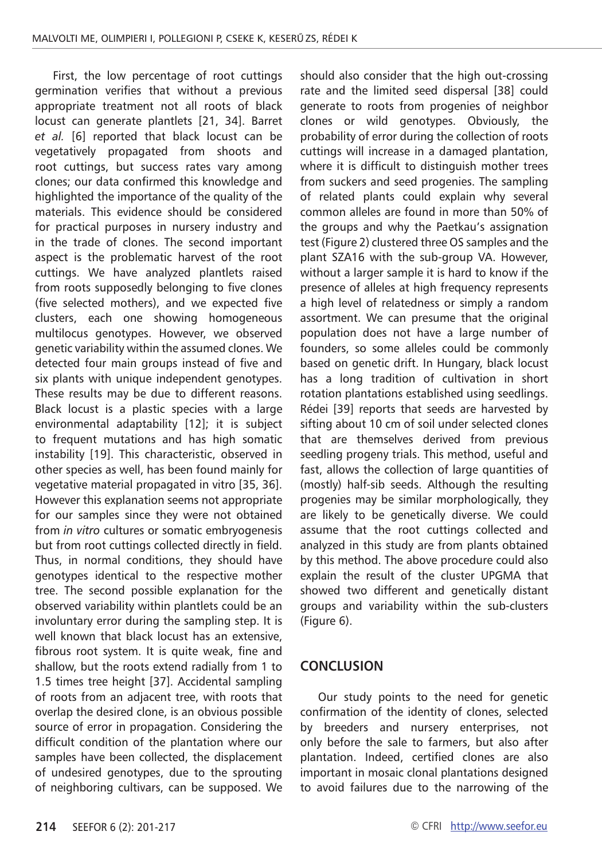First, the low percentage of root cuttings germination verifies that without a previous appropriate treatment not all roots of black locust can generate plantlets [21, 34]. Barret *et al.* [6] reported that black locust can be vegetatively propagated from shoots and root cuttings, but success rates vary among clones; our data confirmed this knowledge and highlighted the importance of the quality of the materials. This evidence should be considered for practical purposes in nursery industry and in the trade of clones. The second important aspect is the problematic harvest of the root cuttings. We have analyzed plantlets raised from roots supposedly belonging to five clones (five selected mothers), and we expected five clusters, each one showing homogeneous multilocus genotypes. However, we observed genetic variability within the assumed clones. We detected four main groups instead of five and six plants with unique independent genotypes. These results may be due to different reasons. Black locust is a plastic species with a large environmental adaptability [12]; it is subject to frequent mutations and has high somatic instability [19]. This characteristic, observed in other species as well, has been found mainly for vegetative material propagated in vitro [35, 36]. However this explanation seems not appropriate for our samples since they were not obtained from *in vitro* cultures or somatic embryogenesis but from root cuttings collected directly in field. Thus, in normal conditions, they should have genotypes identical to the respective mother tree. The second possible explanation for the observed variability within plantlets could be an involuntary error during the sampling step. It is well known that black locust has an extensive, fibrous root system. It is quite weak, fine and shallow, but the roots extend radially from 1 to 1.5 times tree height [37]. Accidental sampling of roots from an adjacent tree, with roots that overlap the desired clone, is an obvious possible source of error in propagation. Considering the difficult condition of the plantation where our samples have been collected, the displacement of undesired genotypes, due to the sprouting of neighboring cultivars, can be supposed. We

should also consider that the high out-crossing rate and the limited seed dispersal [38] could generate to roots from progenies of neighbor clones or wild genotypes. Obviously, the probability of error during the collection of roots cuttings will increase in a damaged plantation, where it is difficult to distinguish mother trees from suckers and seed progenies. The sampling of related plants could explain why several common alleles are found in more than 50% of the groups and why the Paetkau's assignation test (Figure 2) clustered three OS samples and the plant SZA16 with the sub-group VA. However, without a larger sample it is hard to know if the presence of alleles at high frequency represents a high level of relatedness or simply a random assortment. We can presume that the original population does not have a large number of founders, so some alleles could be commonly based on genetic drift. In Hungary, black locust has a long tradition of cultivation in short rotation plantations established using seedlings. Rédei [39] reports that seeds are harvested by sifting about 10 cm of soil under selected clones that are themselves derived from previous seedling progeny trials. This method, useful and fast, allows the collection of large quantities of (mostly) half-sib seeds. Although the resulting progenies may be similar morphologically, they are likely to be genetically diverse. We could assume that the root cuttings collected and analyzed in this study are from plants obtained by this method. The above procedure could also explain the result of the cluster UPGMA that showed two different and genetically distant groups and variability within the sub-clusters (Figure 6).

## **CONCLUSION**

Our study points to the need for genetic confirmation of the identity of clones, selected by breeders and nursery enterprises, not only before the sale to farmers, but also after plantation. Indeed, certified clones are also important in mosaic clonal plantations designed to avoid failures due to the narrowing of the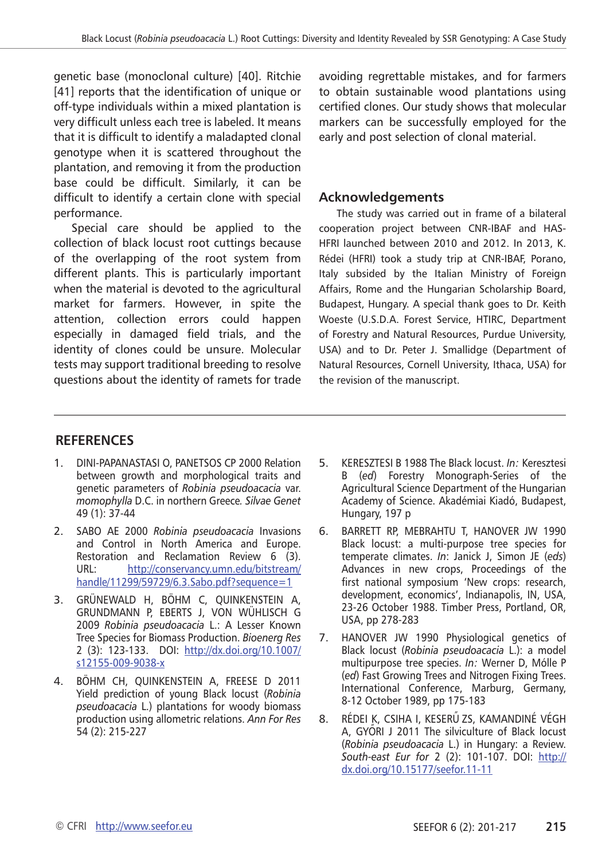genetic base (monoclonal culture) [40]. Ritchie [41] reports that the identification of unique or off-type individuals within a mixed plantation is very difficult unless each tree is labeled. It means that it is difficult to identify a maladapted clonal genotype when it is scattered throughout the plantation, and removing it from the production base could be difficult. Similarly, it can be difficult to identify a certain clone with special performance.

Special care should be applied to the collection of black locust root cuttings because of the overlapping of the root system from different plants. This is particularly important when the material is devoted to the agricultural market for farmers. However, in spite the attention, collection errors could happen especially in damaged field trials, and the identity of clones could be unsure. Molecular tests may support traditional breeding to resolve questions about the identity of ramets for trade

avoiding regrettable mistakes, and for farmers to obtain sustainable wood plantations using certified clones. Our study shows that molecular markers can be successfully employed for the early and post selection of clonal material.

## **Acknowledgements**

The study was carried out in frame of a bilateral cooperation project between CNR-IBAF and HAS-HFRI launched between 2010 and 2012. In 2013, K. Rédei (HFRI) took a study trip at CNR-IBAF, Porano, Italy subsided by the Italian Ministry of Foreign Affairs, Rome and the Hungarian Scholarship Board, Budapest, Hungary. A special thank goes to Dr. Keith Woeste (U.S.D.A. Forest Service, HTIRC, Department of Forestry and Natural Resources, Purdue University, USA) and to Dr. Peter J. Smallidge (Department of Natural Resources, Cornell University, Ithaca, USA) for the revision of the manuscript.

## **REFERENCES**

- 1. DINI-PAPANASTASI O, PANETSOS CP 2000 Relation between growth and morphological traits and genetic parameters of *Robinia pseudoacacia* var. *momophylla* D.C. in northern Greece*. Silvae Genet* 49 (1): 37-44
- 2. SABO AE 2000 *Robinia pseudoacacia* Invasions and Control in North America and Europe. Restoration and Reclamation Review 6 (3). URL: http://conservancy.umn.edu/bitstream/ handle/11299/59729/6.3.Sabo.pdf?sequence=1
- 3. GRÜNEWALD H, BÖHM C, QUINKENSTEIN A, GRUNDMANN P, EBERTS J, VON WÜHLISCH G 2009 *Robinia pseudoacacia* L.: A Lesser Known Tree Species for Biomass Production. *Bioenerg Res* 2 (3): 123-133. DOI: http://dx.doi.org/10.1007/ s12155-009-9038-x
- 4. BÖHM CH, QUINKENSTEIN A, FREESE D 2011 Yield prediction of young Black locust (*Robinia pseudoacacia* L.) plantations for woody biomass production using allometric relations. *Ann For Res* 54 (2): 215-227
- 5. KERESZTESI B 1988 The Black locust. *In:* Keresztesi B (*ed*) Forestry Monograph-Series of the Agricultural Science Department of the Hungarian Academy of Science. Akadémiai Kiadó, Budapest, Hungary, 197 p
- 6. BARRETT RP, MEBRAHTU T, HANOVER JW 1990 Black locust: a multi-purpose tree species for temperate climates. *In*: Janick J, Simon JE (*eds*) Advances in new crops, Proceedings of the first national symposium 'New crops: research, development, economics', Indianapolis, IN, USA, 23-26 October 1988. Timber Press, Portland, OR, USA, pp 278-283
- 7. HANOVER JW 1990 Physiological genetics of Black locust (*Robinia pseudoacacia* L.): a model multipurpose tree species. *In:* Werner D, Mólle P (*ed*) Fast Growing Trees and Nitrogen Fixing Trees. International Conference, Marburg, Germany, 8-12 October 1989, pp 175-183
- 8. RÉDEI K, CSIHA I, KESERŰ ZS, KAMANDINÉ VÉGH A, GYON J 2011 The silviculture of Black locust (*Robinia pseudoacacia* L.) in Hungary: a Review. *South-east Eur for* 2 (2): 101-107. DOI: http:// dx.doi.org/10.15177/seefor.11-11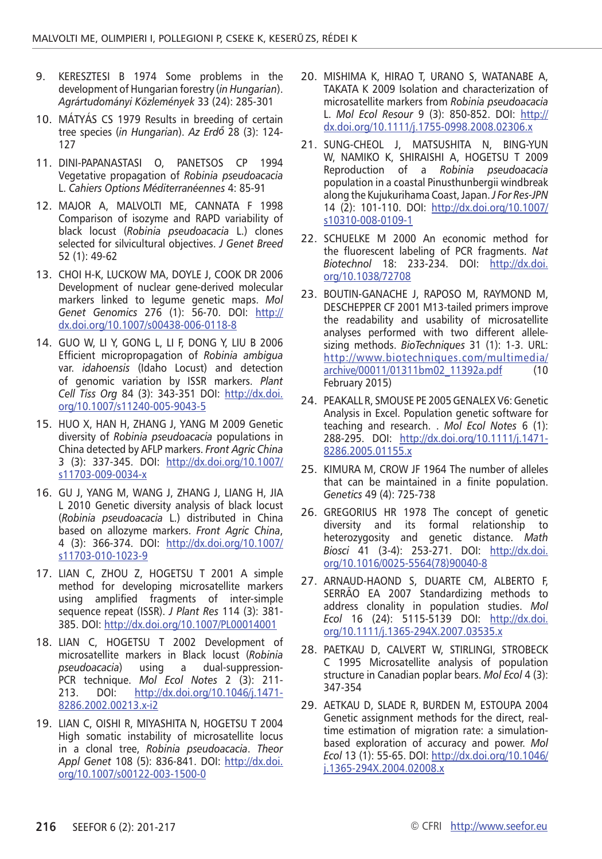- 9. KERESZTESI B 1974 Some problems in the development of Hungarian forestry (*in Hungarian*). *Agrártudományi Közlemények* 33 (24): 285-301
- 10. MÁTYÁS CS 1979 Results in breeding of certain tree species (*in Hungarian*). *Az Erdo˝* 28 (3): 124- 127
- 11. DINI-PAPANASTASI O, PANETSOS CP 1994 Vegetative propagation of *Robinia pseudoacacia* L. *Cahiers Options Méditerranéennes* 4: 85-91
- 12. MAJOR A, MALVOLTI ME, CANNATA F 1998 Comparison of isozyme and RAPD variability of black locust (*Robinia pseudoacacia* L.) clones selected for silvicultural objectives. *J Genet Breed* 52 (1): 49-62
- 13. CHOI H-K, LUCKOW MA, DOYLE J, COOK DR 2006 Development of nuclear gene-derived molecular markers linked to legume genetic maps. *Mol Genet Genomics* 276 (1): 56-70. DOI: http:// dx.doi.org/10.1007/s00438-006-0118-8
- 14. GUO W, LI Y, GONG L, LI F, DONG Y, LIU B 2006 Efficient micropropagation of *Robinia ambigua* var. *idahoensis* (Idaho Locust) and detection of genomic variation by ISSR markers. *Plant Cell Tiss Org* 84 (3): 343-351 DOI: http://dx.doi. org/10.1007/s11240-005-9043-5
- 15. HUO X, HAN H, ZHANG J, YANG M 2009 Genetic diversity of *Robinia pseudoacacia* populations in China detected by AFLP markers. *Front Agric China* 3 (3): 337-345. DOI: http://dx.doi.org/10.1007/ s11703-009-0034-x
- 16. GU J, YANG M, WANG J, ZHANG J, LIANG H, JIA L 2010 Genetic diversity analysis of black locust (*Robinia pseudoacacia* L.) distributed in China based on allozyme markers. *Front Agric China*, 4 (3): 366-374. DOI: http://dx.doi.org/10.1007/ s11703-010-1023-9
- 17. LIAN C, ZHOU Z, HOGETSU T 2001 A simple method for developing microsatellite markers using amplified fragments of inter-simple sequence repeat (ISSR). *J Plant Res* 114 (3): 381- 385. DOI: http://dx.doi.org/10.1007/PL00014001
- 18. LIAN C, HOGETSU T 2002 Development of microsatellite markers in Black locust (*Robinia pseudoacacia*) using a dual-suppression-PCR technique. *Mol Ecol Notes* 2 (3): 211- 213. DOI: http://dx.doi.org/10.1046/j.1471- 8286.2002.00213.x-i2
- 19. LIAN C, OISHI R, MIYASHITA N, HOGETSU T 2004 High somatic instability of microsatellite locus in a clonal tree, *Robinia pseudoacacia*. *Theor Appl Genet* 108 (5): 836-841. DOI: http://dx.doi. org/10.1007/s00122-003-1500-0
- 20. MISHIMA K, HIRAO T, URANO S, WATANABE A, TAKATA K 2009 Isolation and characterization of microsatellite markers from *Robinia pseudoacacia* L. *Mol Ecol Resour* 9 (3): 850-852. DOI: http:// dx.doi.org/10.1111/j.1755-0998.2008.02306.x
- 21. SUNG-CHEOL J, MATSUSHITA N, BING-YUN W, NAMIKO K, SHIRAISHI A, HOGETSU T 2009 Reproduction of a *Robinia pseudoacacia* population in a coastal Pinusthunbergii windbreak along the Kujukurihama Coast, Japan. *J For Res-JPN* 14 (2): 101-110. DOI: http://dx.doi.org/10.1007/ s10310-008-0109-1
- 22. SCHUELKE M 2000 An economic method for the fluorescent labeling of PCR fragments. *Nat Biotechnol* 18: 233-234. DOI: http://dx.doi. org/10.1038/72708
- 23. BOUTIN-GANACHE J, RAPOSO M, RAYMOND M, DESCHEPPER CF 2001 M13-tailed primers improve the readability and usability of microsatellite analyses performed with two different allelesizing methods. *BioTechniques* 31 (1): 1-3. URL: http://www.biotechniques.com/multimedia/ archive/00011/01311bm02\_11392a.pdf (10 February 2015)
- 24. PEAKALL R, SMOUSE PE 2005 GENALEX V6: Genetic Analysis in Excel. Population genetic software for teaching and research. . *Mol Ecol Notes* 6 (1): 288-295. DOI: http://dx.doi.org/10.1111/j.1471- 8286.2005.01155.x
- 25. KIMURA M, CROW JF 1964 The number of alleles that can be maintained in a finite population. *Genetics* 49 (4): 725-738
- 26. GREGORIUS HR 1978 The concept of genetic diversity and its formal relationship to heterozygosity and genetic distance. *Math Biosci* 41 (3-4): 253-271. DOI: http://dx.doi. org/10.1016/0025-5564(78)90040-8
- 27. ARNAUD-HAOND S, DUARTE CM, ALBERTO F, SERRÃO EA 2007 Standardizing methods to address clonality in population studies. *Mol Ecol* 16 (24): 5115-5139 DOI: http://dx.doi. org/10.1111/j.1365-294X.2007.03535.x
- 28. PAETKAU D, CALVERT W, STIRLINGI, STROBECK C 1995 Microsatellite analysis of population structure in Canadian poplar bears. *Mol Ecol* 4 (3): 347-354
- 29. AETKAU D, Slade R, Burden M, EstoupA 2004 Genetic assignment methods for the direct, realtime estimation of migration rate: a simulationbased exploration of accuracy and power. *Mol Ecol* 13 (1): 55-65. DOI: http://dx.doi.org/10.1046/ j.1365-294X.2004.02008.x